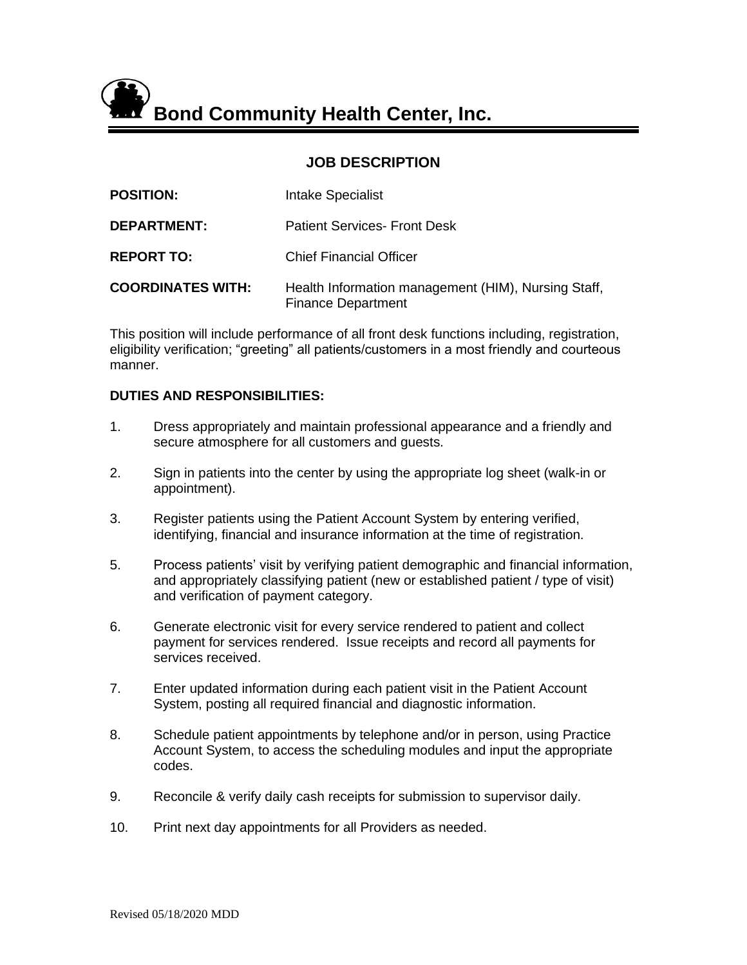**Bond Community Health Center, Inc.**

# **JOB DESCRIPTION**

| <b>POSITION:</b>         | Intake Specialist                                                                |
|--------------------------|----------------------------------------------------------------------------------|
| <b>DEPARTMENT:</b>       | <b>Patient Services- Front Desk</b>                                              |
| <b>REPORT TO:</b>        | <b>Chief Financial Officer</b>                                                   |
| <b>COORDINATES WITH:</b> | Health Information management (HIM), Nursing Staff,<br><b>Finance Department</b> |

This position will include performance of all front desk functions including, registration, eligibility verification; "greeting" all patients/customers in a most friendly and courteous manner.

#### **DUTIES AND RESPONSIBILITIES:**

- 1. Dress appropriately and maintain professional appearance and a friendly and secure atmosphere for all customers and guests.
- 2. Sign in patients into the center by using the appropriate log sheet (walk-in or appointment).
- 3. Register patients using the Patient Account System by entering verified, identifying, financial and insurance information at the time of registration.
- 5. Process patients' visit by verifying patient demographic and financial information, and appropriately classifying patient (new or established patient / type of visit) and verification of payment category.
- 6. Generate electronic visit for every service rendered to patient and collect payment for services rendered. Issue receipts and record all payments for services received.
- 7. Enter updated information during each patient visit in the Patient Account System, posting all required financial and diagnostic information.
- 8. Schedule patient appointments by telephone and/or in person, using Practice Account System, to access the scheduling modules and input the appropriate codes.
- 9. Reconcile & verify daily cash receipts for submission to supervisor daily.
- 10. Print next day appointments for all Providers as needed.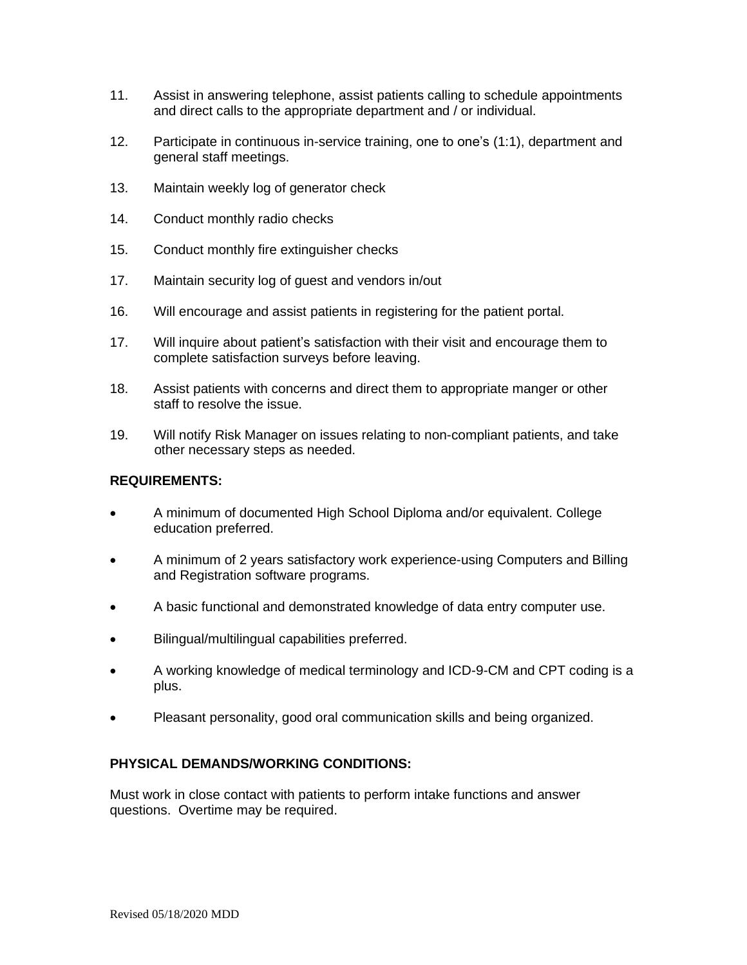- 11. Assist in answering telephone, assist patients calling to schedule appointments and direct calls to the appropriate department and / or individual.
- 12. Participate in continuous in-service training, one to one's (1:1), department and general staff meetings.
- 13. Maintain weekly log of generator check
- 14. Conduct monthly radio checks
- 15. Conduct monthly fire extinguisher checks
- 17. Maintain security log of guest and vendors in/out
- 16. Will encourage and assist patients in registering for the patient portal.
- 17. Will inquire about patient's satisfaction with their visit and encourage them to complete satisfaction surveys before leaving.
- 18. Assist patients with concerns and direct them to appropriate manger or other staff to resolve the issue.
- 19. Will notify Risk Manager on issues relating to non-compliant patients, and take other necessary steps as needed.

## **REQUIREMENTS:**

- A minimum of documented High School Diploma and/or equivalent. College education preferred.
- A minimum of 2 years satisfactory work experience-using Computers and Billing and Registration software programs.
- A basic functional and demonstrated knowledge of data entry computer use.
- Bilingual/multilingual capabilities preferred.
- A working knowledge of medical terminology and ICD-9-CM and CPT coding is a plus.
- Pleasant personality, good oral communication skills and being organized.

# **PHYSICAL DEMANDS/WORKING CONDITIONS:**

Must work in close contact with patients to perform intake functions and answer questions. Overtime may be required.